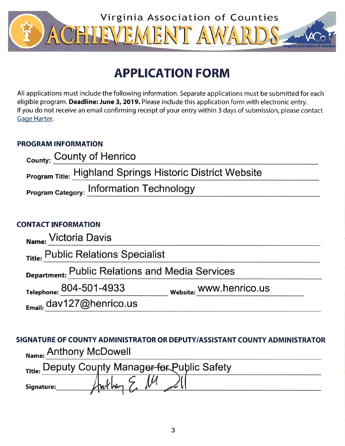

# **APPLICATION FORM**

All applications must include the following information. Separate applications must be submitted for each eligible program. Deadline: June 3, 2019. Please include this application form with electronic entry. If you do not receive an email confirming receipt of your entry within 3 days of submission, please contact Gage Harter.

## **PROGRAM INFORMATION**

| County: County of Henrico                                        |  |
|------------------------------------------------------------------|--|
| <b>Program Title: Highland Springs Historic District Website</b> |  |
| <b>Program Category: Information Technology</b>                  |  |

# **CONTACT INFORMATION**

| Name: Victoria Davis                                   |                                |
|--------------------------------------------------------|--------------------------------|
| Title: Public Relations Specialist                     |                                |
| <b>Department: Public Relations and Media Services</b> |                                |
| Telephone: 804-501-4933                                | <b>Website: WWW.henrico.us</b> |
| Email: dav127@henrico.us                               |                                |

SIGNATURE OF COUNTY ADMINISTRATOR OR DEPUTY/ASSISTANT COUNTY ADMINISTRATOR Name: Anthony McDowell

|            | Title: Deputy County Manager-for Public Safety |
|------------|------------------------------------------------|
| Signature: |                                                |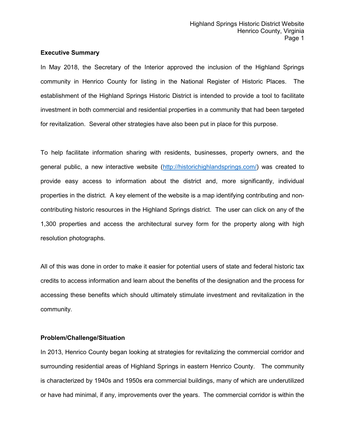#### **Executive Summary**

In May 2018, the Secretary of the Interior approved the inclusion of the Highland Springs community in Henrico County for listing in the National Register of Historic Places. The establishment of the Highland Springs Historic District is intended to provide a tool to facilitate investment in both commercial and residential properties in a community that had been targeted for revitalization. Several other strategies have also been put in place for this purpose.

To help facilitate information sharing with residents, businesses, property owners, and the general public, a new interactive website [\(http://historichighlandsprings.com/\)](http://historichighlandsprings.com/) was created to provide easy access to information about the district and, more significantly, individual properties in the district. A key element of the website is a map identifying contributing and noncontributing historic resources in the Highland Springs district. The user can click on any of the 1,300 properties and access the architectural survey form for the property along with high resolution photographs.

All of this was done in order to make it easier for potential users of state and federal historic tax credits to access information and learn about the benefits of the designation and the process for accessing these benefits which should ultimately stimulate investment and revitalization in the community*.*

## **Problem/Challenge/Situation**

In 2013, Henrico County began looking at strategies for revitalizing the commercial corridor and surrounding residential areas of Highland Springs in eastern Henrico County. The community is characterized by 1940s and 1950s era commercial buildings, many of which are underutilized or have had minimal, if any, improvements over the years. The commercial corridor is within the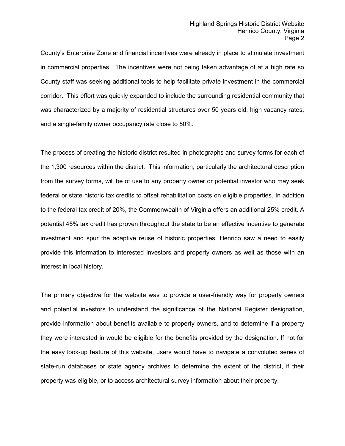County's Enterprise Zone and financial incentives were already in place to stimulate investment in commercial properties. The incentives were not being taken advantage of at a high rate so County staff was seeking additional tools to help facilitate private investment in the commercial corridor. This effort was quickly expanded to include the surrounding residential community that was characterized by a majority of residential structures over 50 years old, high vacancy rates, and a single-family owner occupancy rate close to 50%.

The process of creating the historic district resulted in photographs and survey forms for each of the 1,300 resources within the district. This information, particularly the architectural description from the survey forms, will be of use to any property owner or potential investor who may seek federal or state historic tax credits to offset rehabilitation costs on eligible properties. In addition to the federal tax credit of 20%, the Commonwealth of Virginia offers an additional 25% credit. A potential 45% tax credit has proven throughout the state to be an effective incentive to generate investment and spur the adaptive reuse of historic properties. Henrico saw a need to easily provide this information to interested investors and property owners as well as those with an interest in local history.

The primary objective for the website was to provide a user-friendly way for property owners and potential investors to understand the significance of the National Register designation, provide information about benefits available to property owners, and to determine if a property they were interested in would be eligible for the benefits provided by the designation. If not for the easy look-up feature of this website, users would have to navigate a convoluted series of state-run databases or state agency archives to determine the extent of the district, if their property was eligible, or to access architectural survey information about their property.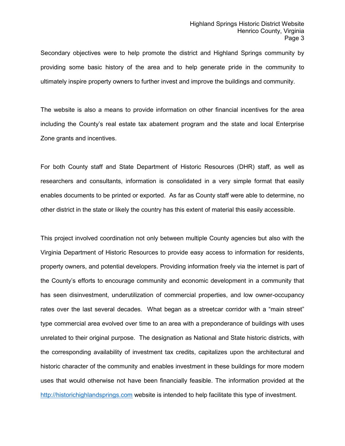Secondary objectives were to help promote the district and Highland Springs community by providing some basic history of the area and to help generate pride in the community to ultimately inspire property owners to further invest and improve the buildings and community.

The website is also a means to provide information on other financial incentives for the area including the County's real estate tax abatement program and the state and local Enterprise Zone grants and incentives.

For both County staff and State Department of Historic Resources (DHR) staff, as well as researchers and consultants, information is consolidated in a very simple format that easily enables documents to be printed or exported. As far as County staff were able to determine, no other district in the state or likely the country has this extent of material this easily accessible.

This project involved coordination not only between multiple County agencies but also with the Virginia Department of Historic Resources to provide easy access to information for residents, property owners, and potential developers. Providing information freely via the internet is part of the County's efforts to encourage community and economic development in a community that has seen disinvestment, underutilization of commercial properties, and low owner-occupancy rates over the last several decades. What began as a streetcar corridor with a "main street" type commercial area evolved over time to an area with a preponderance of buildings with uses unrelated to their original purpose. The designation as National and State historic districts, with the corresponding availability of investment tax credits, capitalizes upon the architectural and historic character of the community and enables investment in these buildings for more modern uses that would otherwise not have been financially feasible. The information provided at the [http://historichighlandsprings.com](http://historichighlandsprings.com/) website is intended to help facilitate this type of investment.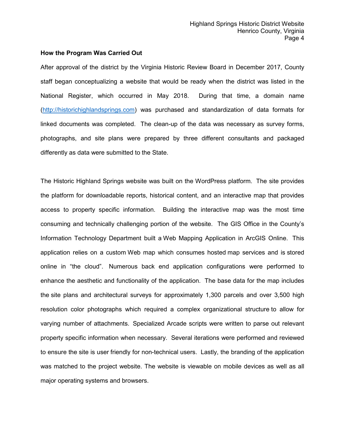## **How the Program Was Carried Out**

After approval of the district by the Virginia Historic Review Board in December 2017, County staff began conceptualizing a website that would be ready when the district was listed in the National Register, which occurred in May 2018. During that time, a domain name [\(http://historichighlandsprings.com\)](http://historichighlandsprings.com/) was purchased and standardization of data formats for linked documents was completed. The clean-up of the data was necessary as survey forms, photographs, and site plans were prepared by three different consultants and packaged differently as data were submitted to the State.

The Historic Highland Springs website was built on the WordPress platform. The site provides the platform for downloadable reports, historical content, and an interactive map that provides access to property specific information. Building the interactive map was the most time consuming and technically challenging portion of the website. The GIS Office in the County's Information Technology Department built a Web Mapping Application in ArcGIS Online. This application relies on a custom Web map which consumes hosted map services and is stored online in "the cloud". Numerous back end application configurations were performed to enhance the aesthetic and functionality of the application. The base data for the map includes the site plans and architectural surveys for approximately 1,300 parcels and over 3,500 high resolution color photographs which required a complex organizational structure to allow for varying number of attachments. Specialized Arcade scripts were written to parse out relevant property specific information when necessary. Several iterations were performed and reviewed to ensure the site is user friendly for non-technical users. Lastly, the branding of the application was matched to the project website. The website is viewable on mobile devices as well as all major operating systems and browsers.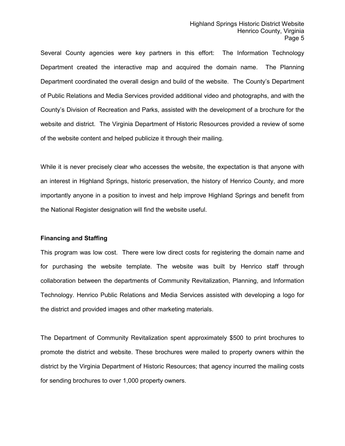Several County agencies were key partners in this effort: The Information Technology Department created the interactive map and acquired the domain name. The Planning Department coordinated the overall design and build of the website. The County's Department of Public Relations and Media Services provided additional video and photographs, and with the County's Division of Recreation and Parks, assisted with the development of a brochure for the website and district. The Virginia Department of Historic Resources provided a review of some of the website content and helped publicize it through their mailing.

While it is never precisely clear who accesses the website, the expectation is that anyone with an interest in Highland Springs, historic preservation, the history of Henrico County, and more importantly anyone in a position to invest and help improve Highland Springs and benefit from the National Register designation will find the website useful.

## **Financing and Staffing**

This program was low cost. There were low direct costs for registering the domain name and for purchasing the website template. The website was built by Henrico staff through collaboration between the departments of Community Revitalization, Planning, and Information Technology. Henrico Public Relations and Media Services assisted with developing a logo for the district and provided images and other marketing materials.

The Department of Community Revitalization spent approximately \$500 to print brochures to promote the district and website. These brochures were mailed to property owners within the district by the Virginia Department of Historic Resources; that agency incurred the mailing costs for sending brochures to over 1,000 property owners.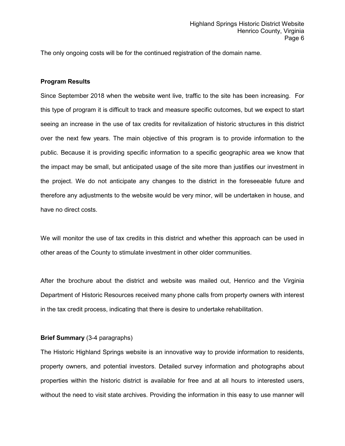The only ongoing costs will be for the continued registration of the domain name.

#### **Program Results**

Since September 2018 when the website went live, traffic to the site has been increasing. For this type of program it is difficult to track and measure specific outcomes, but we expect to start seeing an increase in the use of tax credits for revitalization of historic structures in this district over the next few years. The main objective of this program is to provide information to the public. Because it is providing specific information to a specific geographic area we know that the impact may be small, but anticipated usage of the site more than justifies our investment in the project. We do not anticipate any changes to the district in the foreseeable future and therefore any adjustments to the website would be very minor, will be undertaken in house, and have no direct costs.

We will monitor the use of tax credits in this district and whether this approach can be used in other areas of the County to stimulate investment in other older communities.

After the brochure about the district and website was mailed out, Henrico and the Virginia Department of Historic Resources received many phone calls from property owners with interest in the tax credit process, indicating that there is desire to undertake rehabilitation.

## **Brief Summary** (3-4 paragraphs)

The Historic Highland Springs website is an innovative way to provide information to residents, property owners, and potential investors. Detailed survey information and photographs about properties within the historic district is available for free and at all hours to interested users, without the need to visit state archives. Providing the information in this easy to use manner will